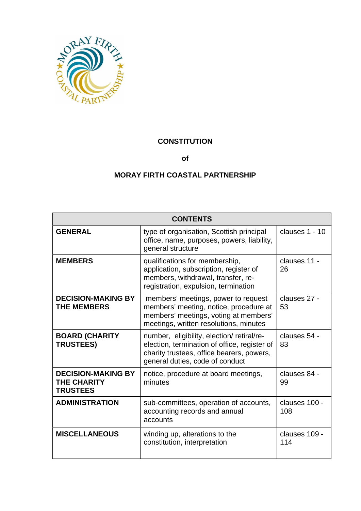

# **CONSTITUTION**

**of**

# **MORAY FIRTH COASTAL PARTNERSHIP**

| <b>CONTENTS</b>                                                    |                                                                                                                                                                           |                      |
|--------------------------------------------------------------------|---------------------------------------------------------------------------------------------------------------------------------------------------------------------------|----------------------|
| <b>GENERAL</b>                                                     | type of organisation, Scottish principal<br>office, name, purposes, powers, liability,<br>general structure                                                               | clauses 1 - 10       |
| <b>MEMBERS</b>                                                     | qualifications for membership,<br>application, subscription, register of<br>members, withdrawal, transfer, re-<br>registration, expulsion, termination                    | clauses 11 -<br>26   |
| <b>DECISION-MAKING BY</b><br><b>THE MEMBERS</b>                    | members' meetings, power to request<br>members' meeting, notice, procedure at<br>members' meetings, voting at members'<br>meetings, written resolutions, minutes          | clauses 27 -<br>53   |
| <b>BOARD (CHARITY</b><br><b>TRUSTEES)</b>                          | number, eligibility, election/retiral/re-<br>election, termination of office, register of<br>charity trustees, office bearers, powers,<br>general duties, code of conduct | clauses 54 -<br>83   |
| <b>DECISION-MAKING BY</b><br><b>THE CHARITY</b><br><b>TRUSTEES</b> | notice, procedure at board meetings,<br>minutes                                                                                                                           | clauses 84 -<br>99   |
| <b>ADMINISTRATION</b>                                              | sub-committees, operation of accounts,<br>accounting records and annual<br>accounts                                                                                       | clauses 100 -<br>108 |
| <b>MISCELLANEOUS</b>                                               | winding up, alterations to the<br>constitution, interpretation                                                                                                            | clauses 109 -<br>114 |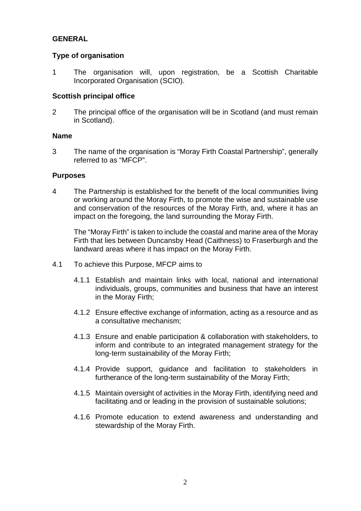# **GENERAL**

# **Type of organisation**

1 The organisation will, upon registration, be a Scottish Charitable Incorporated Organisation (SCIO).

# **Scottish principal office**

2 The principal office of the organisation will be in Scotland (and must remain in Scotland).

# **Name**

3 The name of the organisation is "Moray Firth Coastal Partnership", generally referred to as "MFCP".

# **Purposes**

4 The Partnership is established for the benefit of the local communities living or working around the Moray Firth, to promote the wise and sustainable use and conservation of the resources of the Moray Firth, and, where it has an impact on the foregoing, the land surrounding the Moray Firth.

The "Moray Firth" is taken to include the coastal and marine area of the Moray Firth that lies between Duncansby Head (Caithness) to Fraserburgh and the landward areas where it has impact on the Moray Firth.

- 4.1 To achieve this Purpose, MFCP aims to
	- 4.1.1 Establish and maintain links with local, national and international individuals, groups, communities and business that have an interest in the Moray Firth;
	- 4.1.2 Ensure effective exchange of information, acting as a resource and as a consultative mechanism;
	- 4.1.3 Ensure and enable participation & collaboration with stakeholders, to inform and contribute to an integrated management strategy for the long-term sustainability of the Moray Firth;
	- 4.1.4 Provide support, guidance and facilitation to stakeholders in furtherance of the long-term sustainability of the Moray Firth;
	- 4.1.5 Maintain oversight of activities in the Moray Firth, identifying need and facilitating and or leading in the provision of sustainable solutions;
	- 4.1.6 Promote education to extend awareness and understanding and stewardship of the Moray Firth.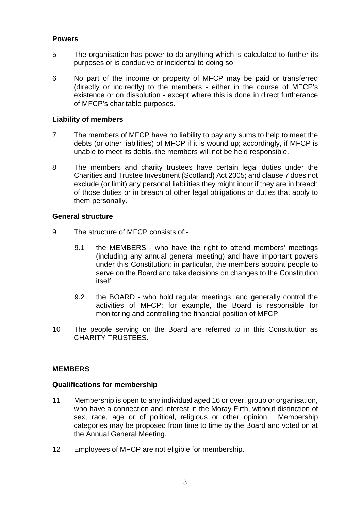# **Powers**

- 5 The organisation has power to do anything which is calculated to further its purposes or is conducive or incidental to doing so.
- 6 No part of the income or property of MFCP may be paid or transferred (directly or indirectly) to the members - either in the course of MFCP's existence or on dissolution - except where this is done in direct furtherance of MFCP's charitable purposes.

# **Liability of members**

- 7 The members of MFCP have no liability to pay any sums to help to meet the debts (or other liabilities) of MFCP if it is wound up; accordingly, if MFCP is unable to meet its debts, the members will not be held responsible.
- 8 The members and charity trustees have certain legal duties under the Charities and Trustee Investment (Scotland) Act 2005; and clause 7 does not exclude (or limit) any personal liabilities they might incur if they are in breach of those duties or in breach of other legal obligations or duties that apply to them personally.

# **General structure**

- 9 The structure of MFCP consists of:-
	- 9.1 the MEMBERS who have the right to attend members' meetings (including any annual general meeting) and have important powers under this Constitution; in particular, the members appoint people to serve on the Board and take decisions on changes to the Constitution itself;
	- 9.2 the BOARD who hold regular meetings, and generally control the activities of MFCP; for example, the Board is responsible for monitoring and controlling the financial position of MFCP.
- 10 The people serving on the Board are referred to in this Constitution as CHARITY TRUSTEES.

# **MEMBERS**

# **Qualifications for membership**

- 11 Membership is open to any individual aged 16 or over, group or organisation, who have a connection and interest in the Moray Firth, without distinction of sex, race, age or of political, religious or other opinion. Membership categories may be proposed from time to time by the Board and voted on at the Annual General Meeting.
- 12 Employees of MFCP are not eligible for membership.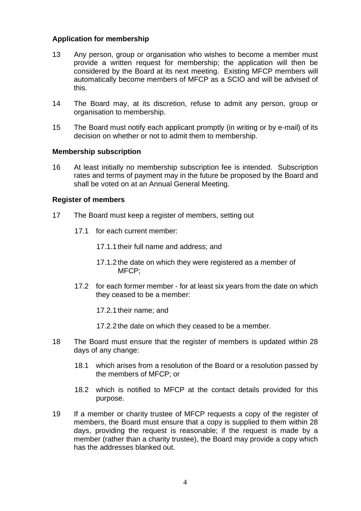# **Application for membership**

- 13 Any person, group or organisation who wishes to become a member must provide a written request for membership; the application will then be considered by the Board at its next meeting. Existing MFCP members will automatically become members of MFCP as a SCIO and will be advised of this.
- 14 The Board may, at its discretion, refuse to admit any person, group or organisation to membership.
- 15 The Board must notify each applicant promptly (in writing or by e-mail) of its decision on whether or not to admit them to membership.

# **Membership subscription**

16 At least initially no membership subscription fee is intended. Subscription rates and terms of payment may in the future be proposed by the Board and shall be voted on at an Annual General Meeting.

#### **Register of members**

- 17 The Board must keep a register of members, setting out
	- 17.1 for each current member:
		- 17.1.1 their full name and address; and
		- 17.1.2 the date on which they were registered as a member of MFCP;
	- 17.2 for each former member for at least six years from the date on which they ceased to be a member:

17.2.1 their name; and

- 17.2.2 the date on which they ceased to be a member.
- 18 The Board must ensure that the register of members is updated within 28 days of any change:
	- 18.1 which arises from a resolution of the Board or a resolution passed by the members of MFCP; or
	- 18.2 which is notified to MFCP at the contact details provided for this purpose.
- 19 If a member or charity trustee of MFCP requests a copy of the register of members, the Board must ensure that a copy is supplied to them within 28 days, providing the request is reasonable; if the request is made by a member (rather than a charity trustee), the Board may provide a copy which has the addresses blanked out.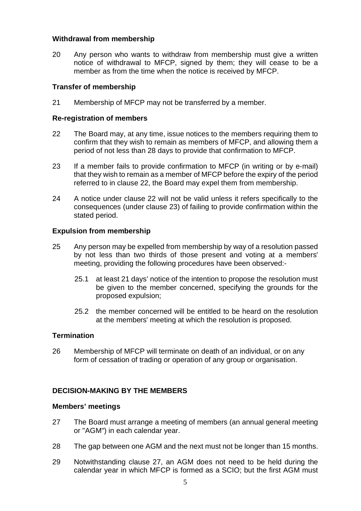### **Withdrawal from membership**

20 Any person who wants to withdraw from membership must give a written notice of withdrawal to MFCP, signed by them; they will cease to be a member as from the time when the notice is received by MFCP.

### **Transfer of membership**

21 Membership of MFCP may not be transferred by a member.

#### **Re-registration of members**

- 22 The Board may, at any time, issue notices to the members requiring them to confirm that they wish to remain as members of MFCP, and allowing them a period of not less than 28 days to provide that confirmation to MFCP.
- 23 If a member fails to provide confirmation to MFCP (in writing or by e-mail) that they wish to remain as a member of MFCP before the expiry of the period referred to in clause 22, the Board may expel them from membership.
- 24 A notice under clause 22 will not be valid unless it refers specifically to the consequences (under clause 23) of failing to provide confirmation within the stated period.

# **Expulsion from membership**

- 25 Any person may be expelled from membership by way of a resolution passed by not less than two thirds of those present and voting at a members' meeting, providing the following procedures have been observed:-
	- 25.1 at least 21 days' notice of the intention to propose the resolution must be given to the member concerned, specifying the grounds for the proposed expulsion;
	- 25.2 the member concerned will be entitled to be heard on the resolution at the members' meeting at which the resolution is proposed.

#### **Termination**

26 Membership of MFCP will terminate on death of an individual, or on any form of cessation of trading or operation of any group or organisation.

# **DECISION-MAKING BY THE MEMBERS**

#### **Members' meetings**

- 27 The Board must arrange a meeting of members (an annual general meeting or "AGM") in each calendar year.
- 28 The gap between one AGM and the next must not be longer than 15 months.
- 29 Notwithstanding clause 27, an AGM does not need to be held during the calendar year in which MFCP is formed as a SCIO; but the first AGM must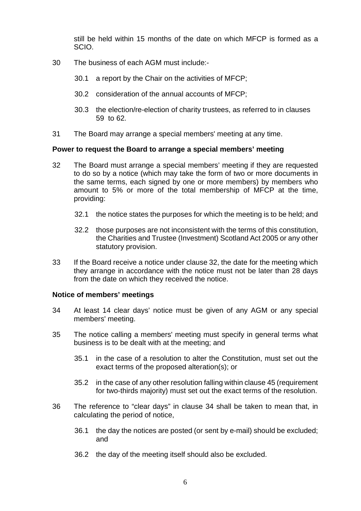still be held within 15 months of the date on which MFCP is formed as a SCIO.

- 30 The business of each AGM must include:-
	- 30.1 a report by the Chair on the activities of MFCP;
	- 30.2 consideration of the annual accounts of MFCP;
	- 30.3 the election/re-election of charity trustees, as referred to in clauses 59 to 62.
- 31 The Board may arrange a special members' meeting at any time.

#### **Power to request the Board to arrange a special members' meeting**

- 32 The Board must arrange a special members' meeting if they are requested to do so by a notice (which may take the form of two or more documents in the same terms, each signed by one or more members) by members who amount to 5% or more of the total membership of MFCP at the time, providing:
	- 32.1 the notice states the purposes for which the meeting is to be held; and
	- 32.2 those purposes are not inconsistent with the terms of this constitution, the Charities and Trustee (Investment) Scotland Act 2005 or any other statutory provision.
- 33 If the Board receive a notice under clause 32, the date for the meeting which they arrange in accordance with the notice must not be later than 28 days from the date on which they received the notice.

# **Notice of members' meetings**

- 34 At least 14 clear days' notice must be given of any AGM or any special members' meeting.
- 35 The notice calling a members' meeting must specify in general terms what business is to be dealt with at the meeting; and
	- 35.1 in the case of a resolution to alter the Constitution, must set out the exact terms of the proposed alteration(s); or
	- 35.2 in the case of any other resolution falling within clause 45 (requirement for two-thirds majority) must set out the exact terms of the resolution.
- 36 The reference to "clear days" in clause 34 shall be taken to mean that, in calculating the period of notice,
	- 36.1 the day the notices are posted (or sent by e-mail) should be excluded; and
	- 36.2 the day of the meeting itself should also be excluded.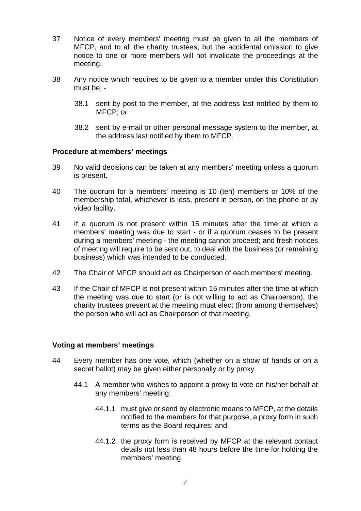- 37 Notice of every members' meeting must be given to all the members of MFCP, and to all the charity trustees; but the accidental omission to give notice to one or more members will not invalidate the proceedings at the meeting.
- 38 Any notice which requires to be given to a member under this Constitution must be: -
	- 38.1 sent by post to the member, at the address last notified by them to MFCP; *or*
	- 38.2 sent by e-mail or other personal message system to the member, at the address last notified by them to MFCP.

#### **Procedure at members' meetings**

- 39 No valid decisions can be taken at any members' meeting unless a quorum is present.
- 40 The quorum for a members' meeting is 10 (ten) members or 10% of the membership total, whichever is less, present in person, on the phone or by video facility.
- 41 If a quorum is not present within 15 minutes after the time at which a members' meeting was due to start - or if a quorum ceases to be present during a members' meeting - the meeting cannot proceed; and fresh notices of meeting will require to be sent out, to deal with the business (or remaining business) which was intended to be conducted.
- 42 The Chair of MFCP should act as Chairperson of each members' meeting.
- 43 If the Chair of MFCP is not present within 15 minutes after the time at which the meeting was due to start (or is not willing to act as Chairperson), the charity trustees present at the meeting must elect (from among themselves) the person who will act as Chairperson of that meeting.

#### **Voting at members' meetings**

- 44 Every member has one vote, which (whether on a show of hands or on a secret ballot) may be given either personally or by proxy.
	- 44.1 A member who wishes to appoint a proxy to vote on his/her behalf at any members' meeting:
		- 44.1.1 must give or send by electronic means to MFCP, at the details notified to the members for that purpose, a proxy form in such terms as the Board requires; and
		- 44.1.2 the proxy form is received by MFCP at the relevant contact details not less than 48 hours before the time for holding the members' meeting.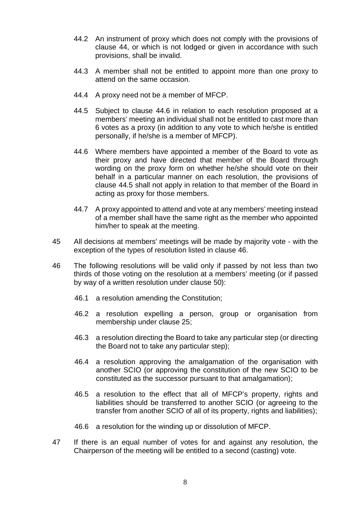- 44.2 An instrument of proxy which does not comply with the provisions of clause 44, or which is not lodged or given in accordance with such provisions, shall be invalid.
- 44.3 A member shall not be entitled to appoint more than one proxy to attend on the same occasion.
- 44.4 A proxy need not be a member of MFCP.
- 44.5 Subject to clause 44.6 in relation to each resolution proposed at a members' meeting an individual shall not be entitled to cast more than 6 votes as a proxy (in addition to any vote to which he/she is entitled personally, if he/she is a member of MFCP).
- 44.6 Where members have appointed a member of the Board to vote as their proxy and have directed that member of the Board through wording on the proxy form on whether he/she should vote on their behalf in a particular manner on each resolution, the provisions of clause 44.5 shall not apply in relation to that member of the Board in acting as proxy for those members.
- 44.7 A proxy appointed to attend and vote at any members' meeting instead of a member shall have the same right as the member who appointed him/her to speak at the meeting.
- 45 All decisions at members' meetings will be made by majority vote with the exception of the types of resolution listed in clause 46.
- 46 The following resolutions will be valid only if passed by not less than two thirds of those voting on the resolution at a members' meeting (or if passed by way of a written resolution under clause 50):
	- 46.1 a resolution amending the Constitution;
	- 46.2 a resolution expelling a person, group or organisation from membership under clause 25;
	- 46.3 a resolution directing the Board to take any particular step (or directing the Board not to take any particular step);
	- 46.4 a resolution approving the amalgamation of the organisation with another SCIO (or approving the constitution of the new SCIO to be constituted as the successor pursuant to that amalgamation);
	- 46.5 a resolution to the effect that all of MFCP's property, rights and liabilities should be transferred to another SCIO (or agreeing to the transfer from another SCIO of all of its property, rights and liabilities);
	- 46.6 a resolution for the winding up or dissolution of MFCP.
- 47 If there is an equal number of votes for and against any resolution, the Chairperson of the meeting will be entitled to a second (casting) vote.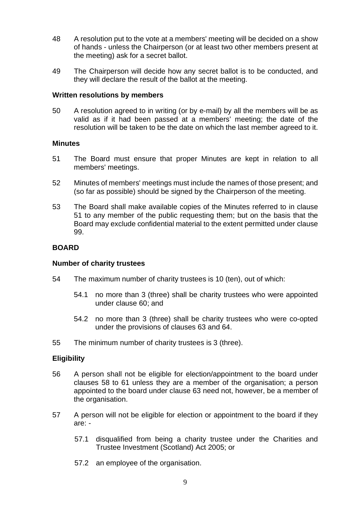- 48 A resolution put to the vote at a members' meeting will be decided on a show of hands - unless the Chairperson (or at least two other members present at the meeting) ask for a secret ballot.
- 49 The Chairperson will decide how any secret ballot is to be conducted, and they will declare the result of the ballot at the meeting.

# **Written resolutions by members**

50 A resolution agreed to in writing (or by e-mail) by all the members will be as valid as if it had been passed at a members' meeting; the date of the resolution will be taken to be the date on which the last member agreed to it.

#### **Minutes**

- 51 The Board must ensure that proper Minutes are kept in relation to all members' meetings.
- 52 Minutes of members' meetings must include the names of those present; and (so far as possible) should be signed by the Chairperson of the meeting.
- 53 The Board shall make available copies of the Minutes referred to in clause 51 to any member of the public requesting them; but on the basis that the Board may exclude confidential material to the extent permitted under clause 99.

#### **BOARD**

#### **Number of charity trustees**

- 54 The maximum number of charity trustees is 10 (ten), out of which:
	- 54.1 no more than 3 (three) shall be charity trustees who were appointed under clause 60; and
	- 54.2 no more than 3 (three) shall be charity trustees who were co-opted under the provisions of clauses 63 and 64.
- 55 The minimum number of charity trustees is 3 (three).

# **Eligibility**

- 56 A person shall not be eligible for election/appointment to the board under clauses 58 to 61 unless they are a member of the organisation; a person appointed to the board under clause 63 need not, however, be a member of the organisation.
- 57 A person will not be eligible for election or appointment to the board if they are: -
	- 57.1 disqualified from being a charity trustee under the Charities and Trustee Investment (Scotland) Act 2005; or
	- 57.2 an employee of the organisation.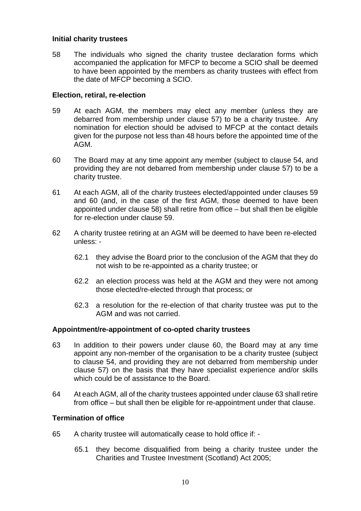#### **Initial charity trustees**

58 The individuals who signed the charity trustee declaration forms which accompanied the application for MFCP to become a SCIO shall be deemed to have been appointed by the members as charity trustees with effect from the date of MFCP becoming a SCIO.

# **Election, retiral, re-election**

- 59 At each AGM, the members may elect any member (unless they are debarred from membership under clause 57) to be a charity trustee. Any nomination for election should be advised to MFCP at the contact details given for the purpose not less than 48 hours before the appointed time of the AGM.
- 60 The Board may at any time appoint any member (subject to clause 54, and providing they are not debarred from membership under clause 57) to be a charity trustee.
- 61 At each AGM, all of the charity trustees elected/appointed under clauses 59 and 60 (and, in the case of the first AGM, those deemed to have been appointed under clause 58) shall retire from office – but shall then be eligible for re-election under clause 59.
- 62 A charity trustee retiring at an AGM will be deemed to have been re-elected unless: -
	- 62.1 they advise the Board prior to the conclusion of the AGM that they do not wish to be re-appointed as a charity trustee; or
	- 62.2 an election process was held at the AGM and they were not among those elected/re-elected through that process; or
	- 62.3 a resolution for the re-election of that charity trustee was put to the AGM and was not carried.

# **Appointment/re-appointment of co-opted charity trustees**

- 63 In addition to their powers under clause 60, the Board may at any time appoint any non-member of the organisation to be a charity trustee (subject to clause 54, and providing they are not debarred from membership under clause 57) on the basis that they have specialist experience and/or skills which could be of assistance to the Board.
- 64 At each AGM, all of the charity trustees appointed under clause 63 shall retire from office – but shall then be eligible for re-appointment under that clause.

# **Termination of office**

- 65 A charity trustee will automatically cease to hold office if:
	- 65.1 they become disqualified from being a charity trustee under the Charities and Trustee Investment (Scotland) Act 2005;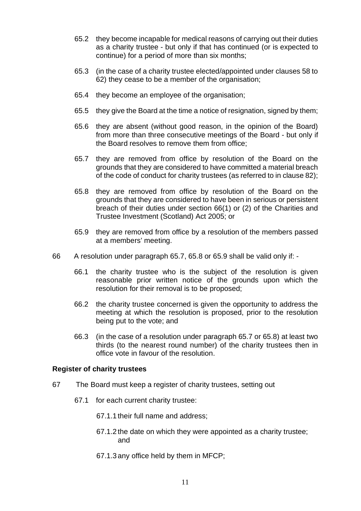- 65.2 they become incapable for medical reasons of carrying out their duties as a charity trustee - but only if that has continued (or is expected to continue) for a period of more than six months;
- 65.3 (in the case of a charity trustee elected/appointed under clauses 58 to 62) they cease to be a member of the organisation;
- 65.4 they become an employee of the organisation;
- 65.5 they give the Board at the time a notice of resignation, signed by them;
- 65.6 they are absent (without good reason, in the opinion of the Board) from more than three consecutive meetings of the Board - but only if the Board resolves to remove them from office;
- 65.7 they are removed from office by resolution of the Board on the grounds that they are considered to have committed a material breach of the code of conduct for charity trustees (as referred to in clause 82);
- 65.8 they are removed from office by resolution of the Board on the grounds that they are considered to have been in serious or persistent breach of their duties under section 66(1) or (2) of the Charities and Trustee Investment (Scotland) Act 2005; or
- 65.9 they are removed from office by a resolution of the members passed at a members' meeting.
- 66 A resolution under paragraph 65.7, 65.8 or 65.9 shall be valid only if:
	- 66.1 the charity trustee who is the subject of the resolution is given reasonable prior written notice of the grounds upon which the resolution for their removal is to be proposed;
	- 66.2 the charity trustee concerned is given the opportunity to address the meeting at which the resolution is proposed, prior to the resolution being put to the vote; and
	- 66.3 (in the case of a resolution under paragraph 65.7 or 65.8) at least two thirds (to the nearest round number) of the charity trustees then in office vote in favour of the resolution.

# **Register of charity trustees**

- 67 The Board must keep a register of charity trustees, setting out
	- 67.1 for each current charity trustee:
		- 67.1.1 their full name and address;
		- 67.1.2 the date on which they were appointed as a charity trustee; and
		- 67.1.3 any office held by them in MFCP;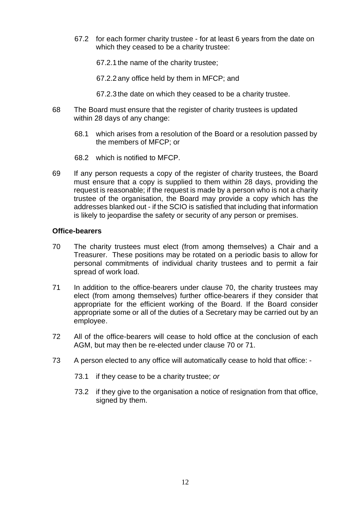- 67.2 for each former charity trustee for at least 6 years from the date on which they ceased to be a charity trustee:
	- 67.2.1 the name of the charity trustee;
	- 67.2.2 any office held by them in MFCP; and
	- 67.2.3 the date on which they ceased to be a charity trustee.
- 68 The Board must ensure that the register of charity trustees is updated within 28 days of any change:
	- 68.1 which arises from a resolution of the Board or a resolution passed by the members of MFCP; or
	- 68.2 which is notified to MFCP.
- 69 If any person requests a copy of the register of charity trustees, the Board must ensure that a copy is supplied to them within 28 days, providing the request is reasonable; if the request is made by a person who is not a charity trustee of the organisation, the Board may provide a copy which has the addresses blanked out - if the SCIO is satisfied that including that information is likely to jeopardise the safety or security of any person or premises.

#### **Office-bearers**

- 70 The charity trustees must elect (from among themselves) a Chair and a Treasurer. These positions may be rotated on a periodic basis to allow for personal commitments of individual charity trustees and to permit a fair spread of work load.
- 71 In addition to the office-bearers under clause 70, the charity trustees may elect (from among themselves) further office-bearers if they consider that appropriate for the efficient working of the Board. If the Board consider appropriate some or all of the duties of a Secretary may be carried out by an employee.
- 72 All of the office-bearers will cease to hold office at the conclusion of each AGM, but may then be re-elected under clause 70 or 71.
- 73 A person elected to any office will automatically cease to hold that office:
	- 73.1 if they cease to be a charity trustee; *or*
	- 73.2 if they give to the organisation a notice of resignation from that office, signed by them.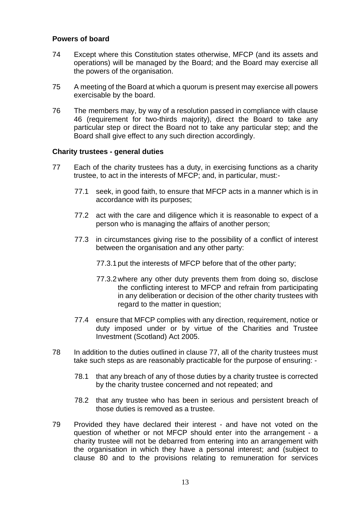### **Powers of board**

- 74 Except where this Constitution states otherwise, MFCP (and its assets and operations) will be managed by the Board; and the Board may exercise all the powers of the organisation.
- 75 A meeting of the Board at which a quorum is present may exercise all powers exercisable by the board.
- 76 The members may, by way of a resolution passed in compliance with clause 46 (requirement for two-thirds majority), direct the Board to take any particular step or direct the Board not to take any particular step; and the Board shall give effect to any such direction accordingly.

#### **Charity trustees - general duties**

- 77 Each of the charity trustees has a duty, in exercising functions as a charity trustee, to act in the interests of MFCP; and, in particular, must:-
	- 77.1 seek, in good faith, to ensure that MFCP acts in a manner which is in accordance with its purposes;
	- 77.2 act with the care and diligence which it is reasonable to expect of a person who is managing the affairs of another person;
	- 77.3 in circumstances giving rise to the possibility of a conflict of interest between the organisation and any other party:
		- 77.3.1 put the interests of MFCP before that of the other party;
		- 77.3.2 where any other duty prevents them from doing so, disclose the conflicting interest to MFCP and refrain from participating in any deliberation or decision of the other charity trustees with regard to the matter in question;
	- 77.4 ensure that MFCP complies with any direction, requirement, notice or duty imposed under or by virtue of the Charities and Trustee Investment (Scotland) Act 2005.
- 78 In addition to the duties outlined in clause 77, all of the charity trustees must take such steps as are reasonably practicable for the purpose of ensuring: -
	- 78.1 that any breach of any of those duties by a charity trustee is corrected by the charity trustee concerned and not repeated; and
	- 78.2 that any trustee who has been in serious and persistent breach of those duties is removed as a trustee.
- 79 Provided they have declared their interest and have not voted on the question of whether or not MFCP should enter into the arrangement - a charity trustee will not be debarred from entering into an arrangement with the organisation in which they have a personal interest; and (subject to clause 80 and to the provisions relating to remuneration for services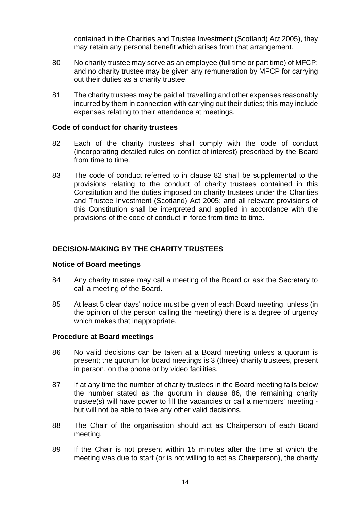contained in the Charities and Trustee Investment (Scotland) Act 2005), they may retain any personal benefit which arises from that arrangement.

- 80 No charity trustee may serve as an employee (full time or part time) of MFCP; and no charity trustee may be given any remuneration by MFCP for carrying out their duties as a charity trustee.
- 81 The charity trustees may be paid all travelling and other expenses reasonably incurred by them in connection with carrying out their duties; this may include expenses relating to their attendance at meetings.

#### **Code of conduct for charity trustees**

- 82 Each of the charity trustees shall comply with the code of conduct (incorporating detailed rules on conflict of interest) prescribed by the Board from time to time.
- 83 The code of conduct referred to in clause 82 shall be supplemental to the provisions relating to the conduct of charity trustees contained in this Constitution and the duties imposed on charity trustees under the Charities and Trustee Investment (Scotland) Act 2005; and all relevant provisions of this Constitution shall be interpreted and applied in accordance with the provisions of the code of conduct in force from time to time.

# **DECISION-MAKING BY THE CHARITY TRUSTEES**

# **Notice of Board meetings**

- 84 Any charity trustee may call a meeting of the Board *or* ask the Secretary to call a meeting of the Board.
- 85 At least 5 clear days' notice must be given of each Board meeting, unless (in the opinion of the person calling the meeting) there is a degree of urgency which makes that inappropriate.

# **Procedure at Board meetings**

- 86 No valid decisions can be taken at a Board meeting unless a quorum is present; the quorum for board meetings is 3 (three) charity trustees, present in person, on the phone or by video facilities.
- 87 If at any time the number of charity trustees in the Board meeting falls below the number stated as the quorum in clause 86, the remaining charity trustee(s) will have power to fill the vacancies or call a members' meeting but will not be able to take any other valid decisions.
- 88 The Chair of the organisation should act as Chairperson of each Board meeting.
- 89 If the Chair is not present within 15 minutes after the time at which the meeting was due to start (or is not willing to act as Chairperson), the charity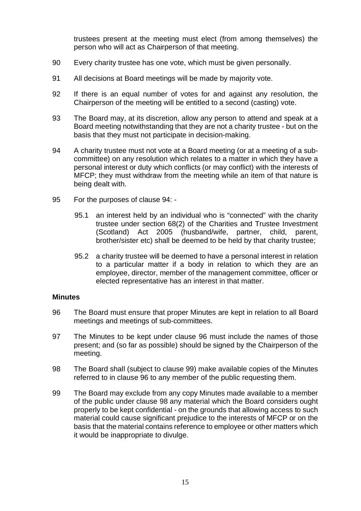trustees present at the meeting must elect (from among themselves) the person who will act as Chairperson of that meeting.

- 90 Every charity trustee has one vote, which must be given personally.
- 91 All decisions at Board meetings will be made by majority vote.
- 92 If there is an equal number of votes for and against any resolution, the Chairperson of the meeting will be entitled to a second (casting) vote.
- 93 The Board may, at its discretion, allow any person to attend and speak at a Board meeting notwithstanding that they are not a charity trustee - but on the basis that they must not participate in decision-making.
- 94 A charity trustee must not vote at a Board meeting (or at a meeting of a subcommittee) on any resolution which relates to a matter in which they have a personal interest or duty which conflicts (or may conflict) with the interests of MFCP; they must withdraw from the meeting while an item of that nature is being dealt with.
- 95 For the purposes of clause 94:
	- 95.1 an interest held by an individual who is "connected" with the charity trustee under section 68(2) of the Charities and Trustee Investment (Scotland) Act 2005 (husband/wife, partner, child, parent, brother/sister etc) shall be deemed to be held by that charity trustee;
	- 95.2 a charity trustee will be deemed to have a personal interest in relation to a particular matter if a body in relation to which they are an employee, director, member of the management committee, officer or elected representative has an interest in that matter.

#### **Minutes**

- 96 The Board must ensure that proper Minutes are kept in relation to all Board meetings and meetings of sub-committees.
- 97 The Minutes to be kept under clause 96 must include the names of those present; and (so far as possible) should be signed by the Chairperson of the meeting.
- 98 The Board shall (subject to clause 99) make available copies of the Minutes referred to in clause 96 to any member of the public requesting them.
- 99 The Board may exclude from any copy Minutes made available to a member of the public under clause 98 any material which the Board considers ought properly to be kept confidential - on the grounds that allowing access to such material could cause significant prejudice to the interests of MFCP or on the basis that the material contains reference to employee or other matters which it would be inappropriate to divulge.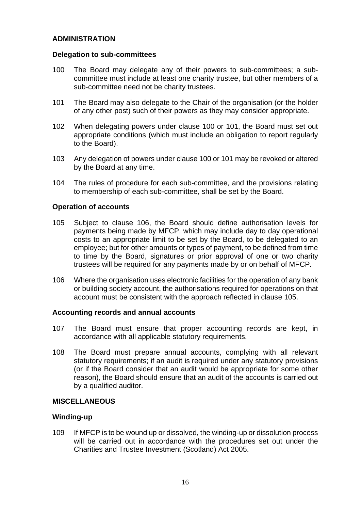# **ADMINISTRATION**

### **Delegation to sub-committees**

- 100 The Board may delegate any of their powers to sub-committees; a subcommittee must include at least one charity trustee, but other members of a sub-committee need not be charity trustees.
- 101 The Board may also delegate to the Chair of the organisation (or the holder of any other post) such of their powers as they may consider appropriate.
- 102 When delegating powers under clause 100 or 101, the Board must set out appropriate conditions (which must include an obligation to report regularly to the Board).
- 103 Any delegation of powers under clause 100 or 101 may be revoked or altered by the Board at any time.
- 104 The rules of procedure for each sub-committee, and the provisions relating to membership of each sub-committee, shall be set by the Board.

# **Operation of accounts**

- 105 Subject to clause 106, the Board should define authorisation levels for payments being made by MFCP, which may include day to day operational costs to an appropriate limit to be set by the Board, to be delegated to an employee; but for other amounts or types of payment, to be defined from time to time by the Board, signatures or prior approval of one or two charity trustees will be required for any payments made by or on behalf of MFCP.
- 106 Where the organisation uses electronic facilities for the operation of any bank or building society account, the authorisations required for operations on that account must be consistent with the approach reflected in clause 105.

# **Accounting records and annual accounts**

- 107 The Board must ensure that proper accounting records are kept, in accordance with all applicable statutory requirements.
- 108 The Board must prepare annual accounts, complying with all relevant statutory requirements; if an audit is required under any statutory provisions (or if the Board consider that an audit would be appropriate for some other reason), the Board should ensure that an audit of the accounts is carried out by a qualified auditor.

# **MISCELLANEOUS**

# **Winding-up**

109 If MFCP is to be wound up or dissolved, the winding-up or dissolution process will be carried out in accordance with the procedures set out under the Charities and Trustee Investment (Scotland) Act 2005.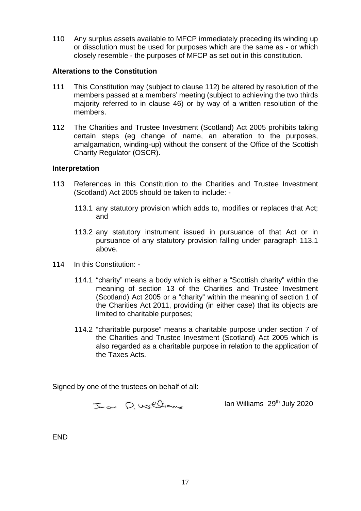110 Any surplus assets available to MFCP immediately preceding its winding up or dissolution must be used for purposes which are the same as - or which closely resemble - the purposes of MFCP as set out in this constitution.

# **Alterations to the Constitution**

- 111 This Constitution may (subject to clause 112) be altered by resolution of the members passed at a members' meeting (subject to achieving the two thirds majority referred to in clause 46) or by way of a written resolution of the members.
- 112 The Charities and Trustee Investment (Scotland) Act 2005 prohibits taking certain steps (eg change of name, an alteration to the purposes, amalgamation, winding-up) without the consent of the Office of the Scottish Charity Regulator (OSCR).

#### **Interpretation**

- 113 References in this Constitution to the Charities and Trustee Investment (Scotland) Act 2005 should be taken to include: -
	- 113.1 any statutory provision which adds to, modifies or replaces that Act; and
	- 113.2 any statutory instrument issued in pursuance of that Act or in pursuance of any statutory provision falling under paragraph 113.1 above.
- 114 In this Constitution:
	- 114.1 "charity" means a body which is either a "Scottish charity" within the meaning of section 13 of the Charities and Trustee Investment (Scotland) Act 2005 or a "charity" within the meaning of section 1 of the Charities Act 2011, providing (in either case) that its objects are limited to charitable purposes;
	- 114.2 "charitable purpose" means a charitable purpose under section 7 of the Charities and Trustee Investment (Scotland) Act 2005 which is also regarded as a charitable purpose in relation to the application of the Taxes Acts.

Signed by one of the trustees on behalf of all:

Ia D. Williams

Ian Williams 29<sup>th</sup> July 2020

END